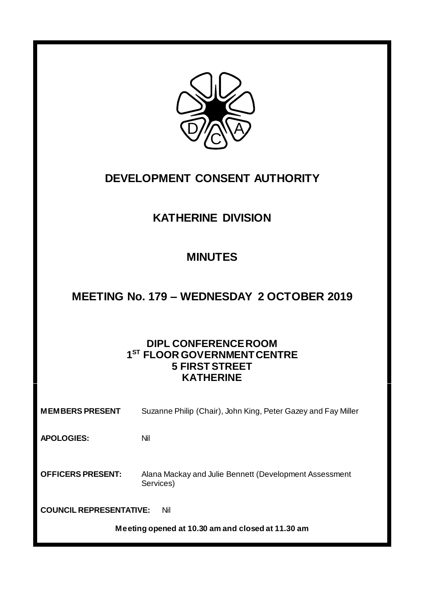

# **DEVELOPMENT CONSENT AUTHORITY**

## **KATHERINE DIVISION**

## **MINUTES**

## **MEETING No. 179 – WEDNESDAY 2 OCTOBER 2019**

## **DIPL CONFERENCE ROOM 1 ST FLOOR GOVERNMENT CENTRE 5 FIRST STREET KATHERINE**

| <b>MEMBERS PRESENT</b>                            | Suzanne Philip (Chair), John King, Peter Gazey and Fay Miller       |
|---------------------------------------------------|---------------------------------------------------------------------|
| <b>APOLOGIES:</b>                                 | Nil                                                                 |
| <b>OFFICERS PRESENT:</b>                          | Alana Mackay and Julie Bennett (Development Assessment<br>Services) |
| <b>COUNCIL REPRESENTATIVE:</b><br>Nil             |                                                                     |
| Meeting opened at 10.30 am and closed at 11.30 am |                                                                     |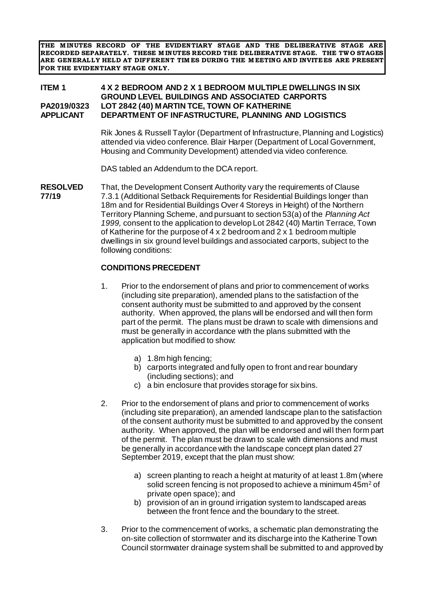**THE M INUTES RECORD OF THE EVIDENTIARY STAGE AND THE DELIBERATIVE STAGE ARE RECORDED SEPARATELY. THESE M INUTES RECORD THE DELIBERATIVE STAGE. THE TW O STAGES ARE GENERALLY HELD AT DIFFERENT TIM ES DURING THE M EETING AND INVITEES ARE PRESENT FOR THE EVIDENTIARY STAGE ONLY.**

#### **ITEM 1 4 X 2 BEDROOM AND 2 X 1 BEDROOM MULTIPLE DWELLINGS IN SIX GROUND LEVEL BUILDINGS AND ASSOCIATED CARPORTS PA2019/0323 LOT 2842 (40) MARTIN TCE, TOWN OF KATHERINE DEPARTMENT OF INFASTRUCTURE, PLANNING AND LOGISTICS**

Rik Jones & Russell Taylor (Department of Infrastructure, Planning and Logistics) attended via video conference. Blair Harper (Department of Local Government, Housing and Community Development) attended via video conference.

DAS tabled an Addendum to the DCA report.

**RESOLVED** That, the Development Consent Authority vary the requirements of Clause **77/19** 7.3.1 (Additional Setback Requirements for Residential Buildings longer than 18m and for Residential Buildings Over 4 Storeys in Height) of the Northern Territory Planning Scheme, and pursuant to section 53(a) of the *Planning Act 1999,* consent to the application to develop Lot 2842 (40) Martin Terrace, Town of Katherine for the purpose of 4 x 2 bedroom and 2 x 1 bedroom multiple dwellings in six ground level buildings and associated carports, subject to the following conditions:

#### **CONDITIONS PRECEDENT**

- 1. Prior to the endorsement of plans and prior to commencement of works (including site preparation), amended plans to the satisfaction of the consent authority must be submitted to and approved by the consent authority. When approved, the plans will be endorsed and will then form part of the permit. The plans must be drawn to scale with dimensions and must be generally in accordance with the plans submitted with the application but modified to show:
	- a) 1.8m high fencing;
	- b) carports integrated and fully open to front and rear boundary (including sections); and
	- c) a bin enclosure that provides storage for six bins.
- 2. Prior to the endorsement of plans and prior to commencement of works (including site preparation), an amended landscape plan to the satisfaction of the consent authority must be submitted to and approved by the consent authority. When approved, the plan will be endorsed and will then form part of the permit. The plan must be drawn to scale with dimensions and must be generally in accordance with the landscape concept plan dated 27 September 2019, except that the plan must show:
	- a) screen planting to reach a height at maturity of at least 1.8m (where solid screen fencing is not proposed to achieve a minimum 45m<sup>2</sup> of private open space); and
	- b) provision of an in ground irrigation system to landscaped areas between the front fence and the boundary to the street.
- 3. Prior to the commencement of works, a schematic plan demonstrating the on-site collection of stormwater and its discharge into the Katherine Town Council stormwater drainage system shall be submitted to and approved by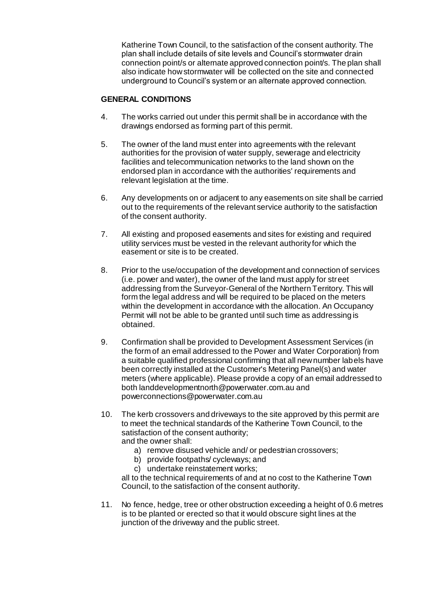Katherine Town Council, to the satisfaction of the consent authority. The plan shall include details of site levels and Council's stormwater drain connection point/s or alternate approved connection point/s. The plan shall also indicate how stormwater will be collected on the site and connected underground to Council's system or an alternate approved connection.

### **GENERAL CONDITIONS**

- 4. The works carried out under this permit shall be in accordance with the drawings endorsed as forming part of this permit.
- 5. The owner of the land must enter into agreements with the relevant authorities for the provision of water supply, sewerage and electricity facilities and telecommunication networks to the land shown on the endorsed plan in accordance with the authorities' requirements and relevant legislation at the time.
- 6. Any developments on or adjacent to any easements on site shall be carried out to the requirements of the relevant service authority to the satisfaction of the consent authority.
- 7. All existing and proposed easements and sites for existing and required utility services must be vested in the relevant authority for which the easement or site is to be created.
- 8. Prior to the use/occupation of the development and connection of services (i.e. power and water), the owner of the land must apply for street addressing from the Surveyor-General of the Northern Territory. This will form the legal address and will be required to be placed on the meters within the development in accordance with the allocation. An Occupancy Permit will not be able to be granted until such time as addressing is obtained.
- 9. Confirmation shall be provided to Development Assessment Services (in the form of an email addressed to the Power and Water Corporation) from a suitable qualified professional confirming that all new number labels have been correctly installed at the Customer's Metering Panel(s) and water meters (where applicable). Please provide a copy of an email addressed to both landdevelopmentnorth@powerwater.com.au and powerconnections@powerwater.com.au
- 10. The kerb crossovers and driveways to the site approved by this permit are to meet the technical standards of the Katherine Town Council, to the satisfaction of the consent authority; and the owner shall:
	- a) remove disused vehicle and/ or pedestrian crossovers;
	- b) provide footpaths/ cycleways; and
	- c) undertake reinstatement works;

all to the technical requirements of and at no cost to the Katherine Town Council, to the satisfaction of the consent authority.

11. No fence, hedge, tree or other obstruction exceeding a height of 0.6 metres is to be planted or erected so that it would obscure sight lines at the junction of the driveway and the public street.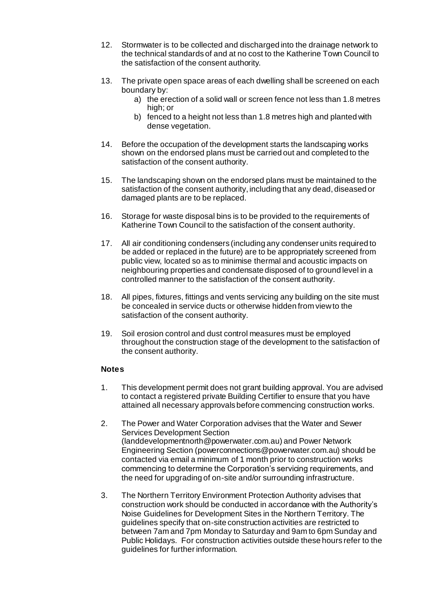- 12. Stormwater is to be collected and discharged into the drainage network to the technical standards of and at no cost to the Katherine Town Council to the satisfaction of the consent authority.
- 13. The private open space areas of each dwelling shall be screened on each boundary by:
	- a) the erection of a solid wall or screen fence not less than 1.8 metres high; or
	- b) fenced to a height not less than 1.8 metres high and planted with dense vegetation.
- 14. Before the occupation of the development starts the landscaping works shown on the endorsed plans must be carried out and completed to the satisfaction of the consent authority.
- 15. The landscaping shown on the endorsed plans must be maintained to the satisfaction of the consent authority, including that any dead, diseased or damaged plants are to be replaced.
- 16. Storage for waste disposal bins is to be provided to the requirements of Katherine Town Council to the satisfaction of the consent authority.
- 17. All air conditioning condensers (including any condenser units required to be added or replaced in the future) are to be appropriately screened from public view, located so as to minimise thermal and acoustic impacts on neighbouring properties and condensate disposed of to ground level in a controlled manner to the satisfaction of the consent authority.
- 18. All pipes, fixtures, fittings and vents servicing any building on the site must be concealed in service ducts or otherwise hidden from view to the satisfaction of the consent authority.
- 19. Soil erosion control and dust control measures must be employed throughout the construction stage of the development to the satisfaction of the consent authority.

#### **Notes**

- 1. This development permit does not grant building approval. You are advised to contact a registered private Building Certifier to ensure that you have attained all necessary approvals before commencing construction works.
- 2. The Power and Water Corporation advises that the Water and Sewer Services Development Section (landdevelopmentnorth@powerwater.com.au) and Power Network Engineering Section (powerconnections@powerwater.com.au) should be contacted via email a minimum of 1 month prior to construction works commencing to determine the Corporation's servicing requirements, and the need for upgrading of on-site and/or surrounding infrastructure.
- 3. The Northern Territory Environment Protection Authority advises that construction work should be conducted in accordance with the Authority's Noise Guidelines for Development Sites in the Northern Territory. The guidelines specify that on-site construction activities are restricted to between 7am and 7pm Monday to Saturday and 9am to 6pm Sunday and Public Holidays. For construction activities outside these hours refer to the guidelines for further information.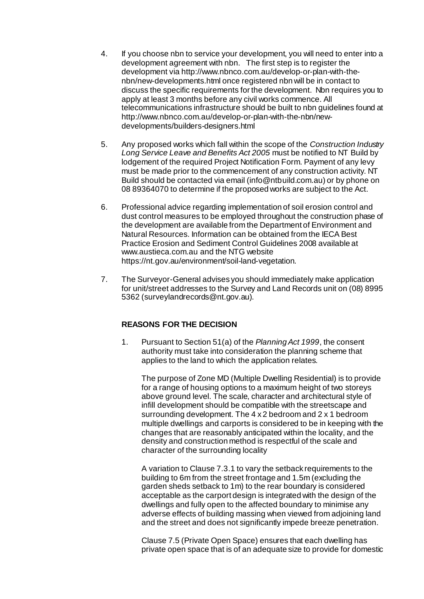- 4. If you choose nbn to service your development, you will need to enter into a development agreement with nbn. The first step is to register the development via http://www.nbnco.com.au/develop-or-plan-with-thenbn/new-developments.html once registered nbn will be in contact to discuss the specific requirements for the development. Nbn requires you to apply at least 3 months before any civil works commence. All telecommunications infrastructure should be built to nbn guidelines found at http://www.nbnco.com.au/develop-or-plan-with-the-nbn/newdevelopments/builders-designers.html
- 5. Any proposed works which fall within the scope of the *Construction Industry Long Service Leave and Benefits Act 2005* must be notified to NT Build by lodgement of the required Project Notification Form. Payment of any levy must be made prior to the commencement of any construction activity. NT Build should be contacted via email (info@ntbuild.com.au) or by phone on 08 89364070 to determine if the proposed works are subject to the Act.
- 6. Professional advice regarding implementation of soil erosion control and dust control measures to be employed throughout the construction phase of the development are available from the Department of Environment and Natural Resources. Information can be obtained from the IECA Best Practice Erosion and Sediment Control Guidelines 2008 available at www.austieca.com.au and the NTG website https://nt.gov.au/environment/soil-land-vegetation.
- 7. The Surveyor-General advises you should immediately make application for unit/street addresses to the Survey and Land Records unit on (08) 8995 5362 (surveylandrecords@nt.gov.au).

### **REASONS FOR THE DECISION**

1. Pursuant to Section 51(a) of the *Planning Act 1999*, the consent authority must take into consideration the planning scheme that applies to the land to which the application relates.

The purpose of Zone MD (Multiple Dwelling Residential) is to provide for a range of housing options to a maximum height of two storeys above ground level. The scale, character and architectural style of infill development should be compatible with the streetscape and surrounding development. The 4 x 2 bedroom and 2 x 1 bedroom multiple dwellings and carports is considered to be in keeping with the changes that are reasonably anticipated within the locality, and the density and construction method is respectful of the scale and character of the surrounding locality

A variation to Clause 7.3.1 to vary the setback requirements to the building to 6m from the street frontage and 1.5m (excluding the garden sheds setback to 1m) to the rear boundary is considered acceptable as the carport design is integrated with the design of the dwellings and fully open to the affected boundary to minimise any adverse effects of building massing when viewed from adjoining land and the street and does not significantly impede breeze penetration.

Clause 7.5 (Private Open Space) ensures that each dwelling has private open space that is of an adequate size to provide for domestic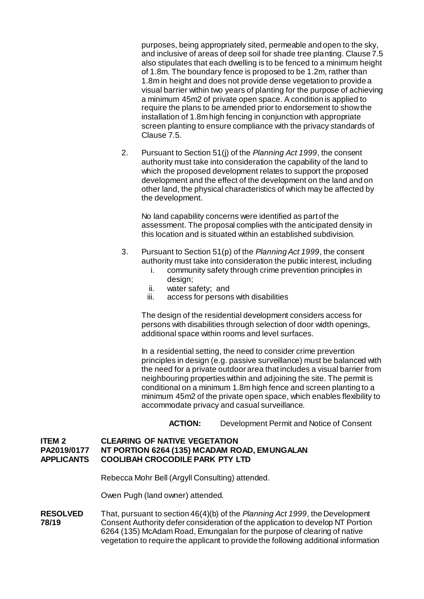purposes, being appropriately sited, permeable and open to the sky, and inclusive of areas of deep soil for shade tree planting. Clause 7.5 also stipulates that each dwelling is to be fenced to a minimum height of 1.8m. The boundary fence is proposed to be 1.2m, rather than 1.8m in height and does not provide dense vegetation to provide a visual barrier within two years of planting for the purpose of achieving a minimum 45m2 of private open space. A condition is applied to require the plans to be amended prior to endorsement to show the installation of 1.8m high fencing in conjunction with appropriate screen planting to ensure compliance with the privacy standards of Clause 7.5.

2. Pursuant to Section 51(j) of the *Planning Act 1999*, the consent authority must take into consideration the capability of the land to which the proposed development relates to support the proposed development and the effect of the development on the land and on other land, the physical characteristics of which may be affected by the development.

No land capability concerns were identified as part of the assessment. The proposal complies with the anticipated density in this location and is situated within an established subdivision.

- 3. Pursuant to Section 51(p) of the *Planning Act 1999*, the consent authority must take into consideration the public interest, including
	- i. community safety through crime prevention principles in design:
	- ii. water safety; and
	- iii. access for persons with disabilities

The design of the residential development considers access for persons with disabilities through selection of door width openings, additional space within rooms and level surfaces.

In a residential setting, the need to consider crime prevention principles in design (e.g. passive surveillance) must be balanced with the need for a private outdoor area that includes a visual barrier from neighbouring properties within and adjoining the site. The permit is conditional on a minimum 1.8m high fence and screen planting to a minimum 45m2 of the private open space, which enables flexibility to accommodate privacy and casual surveillance.

**ACTION:** Development Permit and Notice of Consent

#### **ITEM 2 CLEARING OF NATIVE VEGETATION**<br>PA2019/0177 NT PORTION 6264 (135) MCADAM RO **NT PORTION 6264 (135) MCADAM ROAD, EMUNGALAN APPLICANTS COOLIBAH CROCODILE PARK PTY LTD**

Rebecca Mohr Bell (Argyll Consulting) attended.

Owen Pugh (land owner) attended.

**RESOLVED** That, pursuant to section 46(4)(b) of the *Planning Act 1999*, the Development **78/19** Consent Authority defer consideration of the application to develop NT Portion 6264 (135) McAdam Road, Emungalan for the purpose of clearing of native vegetation to require the applicant to provide the following additional information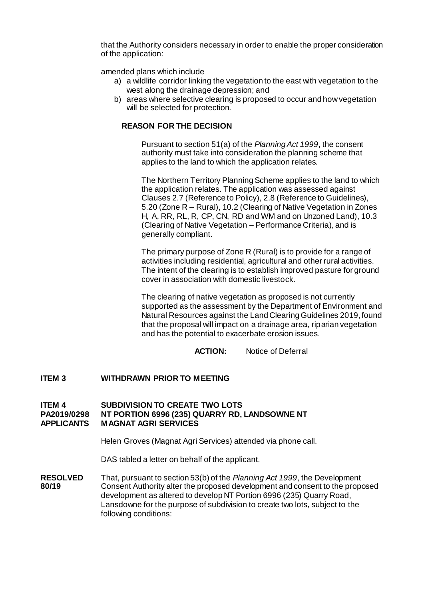that the Authority considers necessary in order to enable the proper consideration of the application:

amended plans which include

- a) a wildlife corridor linking the vegetation to the east with vegetation to the west along the drainage depression; and
- b) areas where selective clearing is proposed to occur and how vegetation will be selected for protection.

#### **REASON FOR THE DECISION**

Pursuant to section 51(a) of the *Planning Act 1999*, the consent authority must take into consideration the planning scheme that applies to the land to which the application relates.

The Northern Territory Planning Scheme applies to the land to which the application relates. The application was assessed against Clauses 2.7 (Reference to Policy), 2.8 (Reference to Guidelines), 5.20 (Zone R – Rural), 10.2 (Clearing of Native Vegetation in Zones H, A, RR, RL, R, CP, CN, RD and WM and on Unzoned Land), 10.3 (Clearing of Native Vegetation – Performance Criteria), and is generally compliant.

The primary purpose of Zone R (Rural) is to provide for a range of activities including residential, agricultural and other rural activities. The intent of the clearing is to establish improved pasture for ground cover in association with domestic livestock.

The clearing of native vegetation as proposed is not currently supported as the assessment by the Department of Environment and Natural Resources against the Land Clearing Guidelines 2019, found that the proposal will impact on a drainage area, riparian vegetation and has the potential to exacerbate erosion issues.

**ACTION:** Notice of Deferral

#### **ITEM 3 WITHDRAWN PRIOR TO MEETING**

#### **ITEM 4 SUBDIVISION TO CREATE TWO LOTS PA2019/0298 NT PORTION 6996 (235) QUARRY RD, LANDSOWNE NT APPLICANTS MAGNAT AGRI SERVICES**

Helen Groves (Magnat Agri Services) attended via phone call.

DAS tabled a letter on behalf of the applicant.

**RESOLVED** That, pursuant to section 53(b) of the *Planning Act 1999*, the Development **80/19** Consent Authority alter the proposed development and consent to the propo **80/19** Consent Authority alter the proposed development and consent to the proposed development as altered to develop NT Portion 6996 (235) Quarry Road, Lansdowne for the purpose of subdivision to create two lots, subject to the following conditions: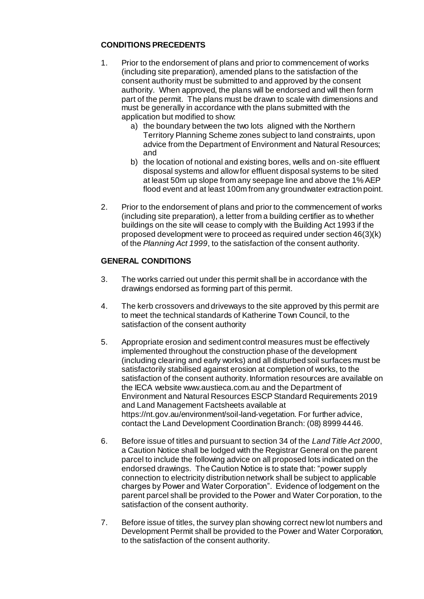## **CONDITIONS PRECEDENTS**

- 1. Prior to the endorsement of plans and prior to commencement of works (including site preparation), amended plans to the satisfaction of the consent authority must be submitted to and approved by the consent authority. When approved, the plans will be endorsed and will then form part of the permit. The plans must be drawn to scale with dimensions and must be generally in accordance with the plans submitted with the application but modified to show:
	- a) the boundary between the two lots aligned with the Northern Territory Planning Scheme zones subject to land constraints, upon advice from the Department of Environment and Natural Resources; and
	- b) the location of notional and existing bores, wells and on-site effluent disposal systems and allow for effluent disposal systems to be sited at least 50m up slope from any seepage line and above the 1% AEP flood event and at least 100m from any groundwater extraction point.
- 2. Prior to the endorsement of plans and prior to the commencement of works (including site preparation), a letter from a building certifier as to whether buildings on the site will cease to comply with the Building Act 1993 if the proposed development were to proceed as required under section 46(3)(k) of the *Planning Act 1999*, to the satisfaction of the consent authority.

## **GENERAL CONDITIONS**

- 3. The works carried out under this permit shall be in accordance with the drawings endorsed as forming part of this permit.
- 4. The kerb crossovers and driveways to the site approved by this permit are to meet the technical standards of Katherine Town Council, to the satisfaction of the consent authority
- 5. Appropriate erosion and sediment control measures must be effectively implemented throughout the construction phase of the development (including clearing and early works) and all disturbed soil surfaces must be satisfactorily stabilised against erosion at completion of works, to the satisfaction of the consent authority. Information resources are available on the IECA website www.austieca.com.au and the Department of Environment and Natural Resources ESCP Standard Requirements 2019 and Land Management Factsheets available at https://nt.gov.au/environment/soil-land-vegetation. For further advice, contact the Land Development Coordination Branch: (08) 8999 4446.
- 6. Before issue of titles and pursuant to section 34 of the *Land Title Act 2000*, a Caution Notice shall be lodged with the Registrar General on the parent parcel to include the following advice on all proposed lots indicated on the endorsed drawings. The Caution Notice is to state that: "power supply connection to electricity distribution network shall be subject to applicable charges by Power and Water Corporation". Evidence of lodgement on the parent parcel shall be provided to the Power and Water Corporation, to the satisfaction of the consent authority.
- 7. Before issue of titles, the survey plan showing correct new lot numbers and Development Permit shall be provided to the Power and Water Corporation, to the satisfaction of the consent authority.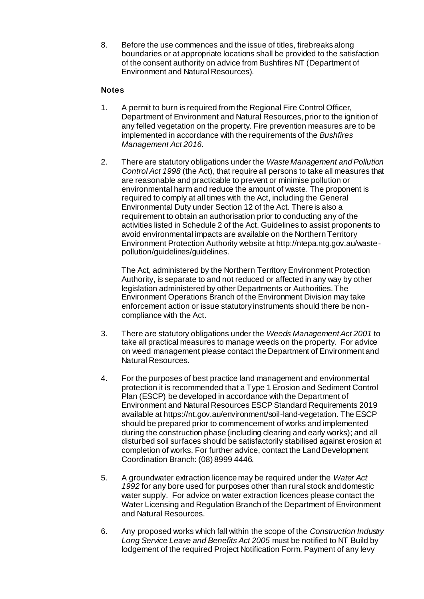8. Before the use commences and the issue of titles, firebreaks along boundaries or at appropriate locations shall be provided to the satisfaction of the consent authority on advice from Bushfires NT (Department of Environment and Natural Resources).

### **Notes**

- 1. A permit to burn is required from the Regional Fire Control Officer, Department of Environment and Natural Resources, prior to the ignition of any felled vegetation on the property. Fire prevention measures are to be implemented in accordance with the requirements of the *Bushfires Management Act 2016.*
- 2. There are statutory obligations under the *Waste Management and Pollution Control Act 1998* (the Act), that require all persons to take all measures that are reasonable and practicable to prevent or minimise pollution or environmental harm and reduce the amount of waste. The proponent is required to comply at all times with the Act, including the General Environmental Duty under Section 12 of the Act. There is also a requirement to obtain an authorisation prior to conducting any of the activities listed in Schedule 2 of the Act. Guidelines to assist proponents to avoid environmental impacts are available on the Northern Territory Environment Protection Authority website at http://ntepa.ntg.gov.au/wastepollution/guidelines/guidelines.

The Act, administered by the Northern Territory Environment Protection Authority, is separate to and not reduced or affected in any way by other legislation administered by other Departments or Authorities. The Environment Operations Branch of the Environment Division may take enforcement action or issue statutory instruments should there be noncompliance with the Act.

- 3. There are statutory obligations under the *Weeds Management Act 2001* to take all practical measures to manage weeds on the property. For advice on weed management please contact the Department of Environment and Natural Resources.
- 4. For the purposes of best practice land management and environmental protection it is recommended that a Type 1 Erosion and Sediment Control Plan (ESCP) be developed in accordance with the Department of Environment and Natural Resources ESCP Standard Requirements 2019 available at https://nt.gov.au/environment/soil-land-vegetation. The ESCP should be prepared prior to commencement of works and implemented during the construction phase (including clearing and early works); and all disturbed soil surfaces should be satisfactorily stabilised against erosion at completion of works. For further advice, contact the Land Development Coordination Branch: (08) 8999 4446.
- 5. A groundwater extraction licence may be required under the *Water Act 1992* for any bore used for purposes other than rural stock and domestic water supply. For advice on water extraction licences please contact the Water Licensing and Regulation Branch of the Department of Environment and Natural Resources.
- 6. Any proposed works which fall within the scope of the *Construction Industry Long Service Leave and Benefits Act 2005* must be notified to NT Build by lodgement of the required Project Notification Form. Payment of any levy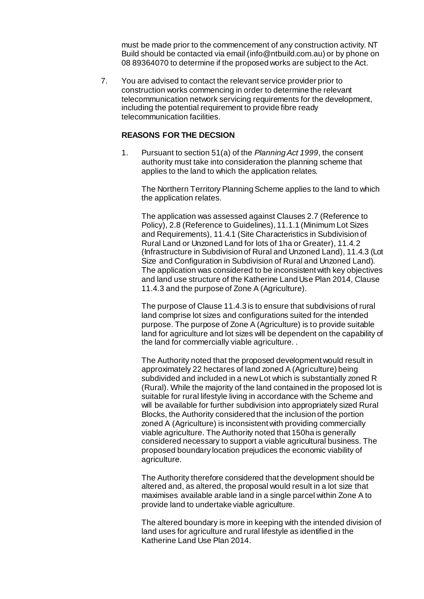must be made prior to the commencement of any construction activity. NT Build should be contacted via email (info@ntbuild.com.au) or by phone on 08 89364070 to determine if the proposed works are subject to the Act.

7. You are advised to contact the relevant service provider prior to construction works commencing in order to determine the relevant telecommunication network servicing requirements for the development, including the potential requirement to provide fibre ready telecommunication facilities.

#### **REASONS FOR THE DECSION**

1. Pursuant to section 51(a) of the *Planning Act 1999*, the consent authority must take into consideration the planning scheme that applies to the land to which the application relates.

The Northern Territory Planning Scheme applies to the land to which the application relates.

The application was assessed against Clauses 2.7 (Reference to Policy), 2.8 (Reference to Guidelines), 11.1.1 (Minimum Lot Sizes and Requirements), 11.4.1 (Site Characteristics in Subdivision of Rural Land or Unzoned Land for lots of 1ha or Greater), 11.4.2 (Infrastructure in Subdivision of Rural and Unzoned Land), 11.4.3 (Lot Size and Configuration in Subdivision of Rural and Unzoned Land). The application was considered to be inconsistent with key objectives and land use structure of the Katherine Land Use Plan 2014, Clause 11.4.3 and the purpose of Zone A (Agriculture).

The purpose of Clause 11.4.3 is to ensure that subdivisions of rural land comprise lot sizes and configurations suited for the intended purpose. The purpose of Zone A (Agriculture) is to provide suitable land for agriculture and lot sizes will be dependent on the capability of the land for commercially viable agriculture. .

The Authority noted that the proposed development would result in approximately 22 hectares of land zoned A (Agriculture) being subdivided and included in a new Lot which is substantially zoned R (Rural). While the majority of the land contained in the proposed lot is suitable for rural lifestyle living in accordance with the Scheme and will be available for further subdivision into appropriately sized Rural Blocks, the Authority considered that the inclusion of the portion zoned A (Agriculture) is inconsistent with providing commercially viable agriculture. The Authority noted that 150ha is generally considered necessary to support a viable agricultural business. The proposed boundary location prejudices the economic viability of agriculture.

The Authority therefore considered that the development should be altered and, as altered, the proposal would result in a lot size that maximises available arable land in a single parcel within Zone A to provide land to undertake viable agriculture.

The altered boundary is more in keeping with the intended division of land uses for agriculture and rural lifestyle as identified in the Katherine Land Use Plan 2014.